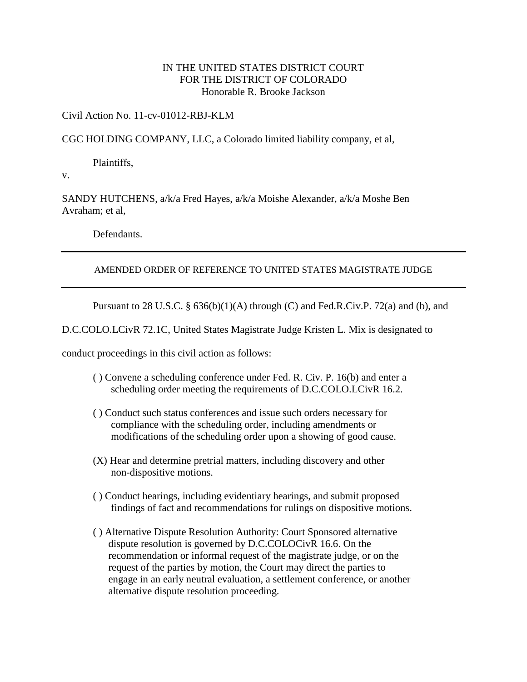## IN THE UNITED STATES DISTRICT COURT FOR THE DISTRICT OF COLORADO Honorable R. Brooke Jackson

## Civil Action No. 11-cv-01012-RBJ-KLM

CGC HOLDING COMPANY, LLC, a Colorado limited liability company, et al,

Plaintiffs,

v.

SANDY HUTCHENS, a/k/a Fred Hayes, a/k/a Moishe Alexander, a/k/a Moshe Ben Avraham; et al,

Defendants.

## AMENDED ORDER OF REFERENCE TO UNITED STATES MAGISTRATE JUDGE

Pursuant to 28 U.S.C. § 636(b)(1)(A) through (C) and Fed.R.Civ.P. 72(a) and (b), and

D.C.COLO.LCivR 72.1C, United States Magistrate Judge Kristen L. Mix is designated to

conduct proceedings in this civil action as follows:

- ( ) Convene a scheduling conference under Fed. R. Civ. P. 16(b) and enter a scheduling order meeting the requirements of D.C.COLO.LCivR 16.2.
- ( ) Conduct such status conferences and issue such orders necessary for compliance with the scheduling order, including amendments or modifications of the scheduling order upon a showing of good cause.
- (X) Hear and determine pretrial matters, including discovery and other non-dispositive motions.
- ( ) Conduct hearings, including evidentiary hearings, and submit proposed findings of fact and recommendations for rulings on dispositive motions.
- ( ) Alternative Dispute Resolution Authority: Court Sponsored alternative dispute resolution is governed by D.C.COLOCivR 16.6. On the recommendation or informal request of the magistrate judge, or on the request of the parties by motion, the Court may direct the parties to engage in an early neutral evaluation, a settlement conference, or another alternative dispute resolution proceeding.